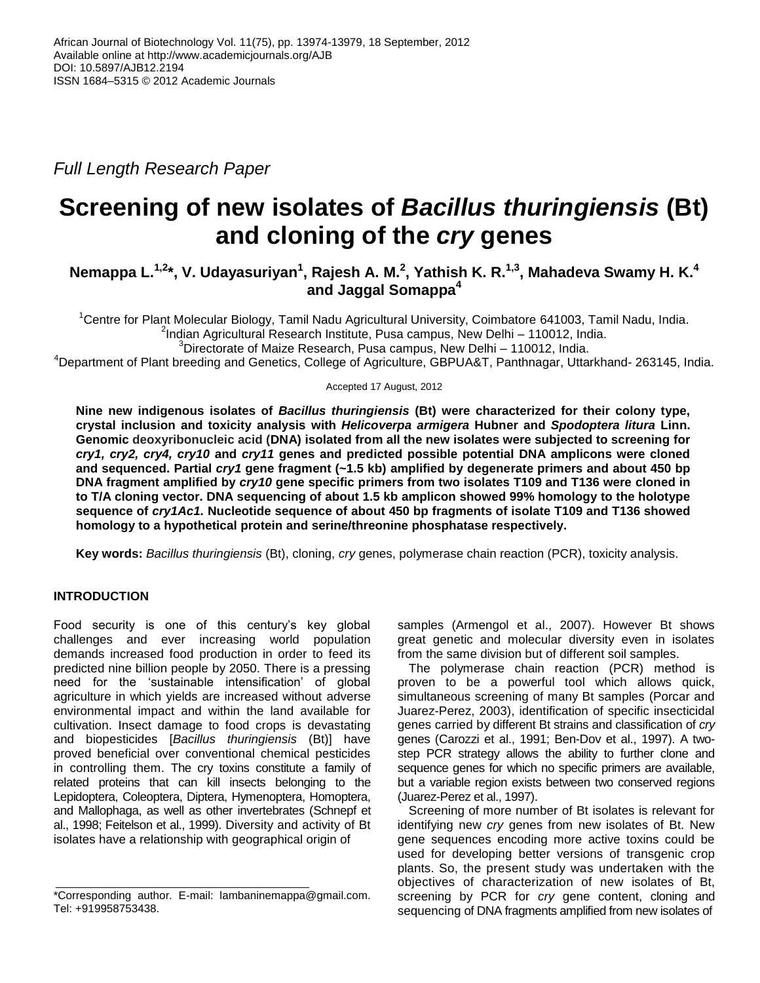*Full Length Research Paper*

# **Screening of new isolates of** *Bacillus thuringiensis* **(Bt) and cloning of the** *cry* **genes**

## **Nemappa L.** $^{1,2*}$ **, V. Udayasuriyan** $^{1}$ **, Rajesh A. M.** $^{2}$ **, Yathish K. R.** $^{1,3}$ **, Mahadeva Swamy H. K.** $^{4}$ **and Jaggal Somappa<sup>4</sup>**

<sup>1</sup>Centre for Plant Molecular Biology, Tamil Nadu Agricultural University, Coimbatore 641003, Tamil Nadu, India. 2 Indian Agricultural Research Institute, Pusa campus, New Delhi – 110012, India.

 ${}^{3}$ Directorate of Maize Research, Pusa campus, New Delhi – 110012, India.

<sup>4</sup>Department of Plant breeding and Genetics, College of Agriculture, GBPUA&T, Panthnagar, Uttarkhand- 263145, India.

Accepted 17 August, 2012

**Nine new indigenous isolates of** *Bacillus thuringiensis* **(Bt) were characterized for their colony type, crystal inclusion and toxicity analysis with** *Helicoverpa armigera* **Hubner and** *Spodoptera litura* **Linn. Genomic deoxyribonucleic acid (DNA) isolated from all the new isolates were subjected to screening for** *cry1, cry2, cry4, cry10* **and** *cry11* **genes and predicted possible potential DNA amplicons were cloned and sequenced. Partial** *cry1* **gene fragment (~1.5 kb) amplified by degenerate primers and about 450 bp DNA fragment amplified by** *cry10* **gene specific primers from two isolates T109 and T136 were cloned in to T/A cloning vector. DNA sequencing of about 1.5 kb amplicon showed 99% homology to the holotype sequence of** *cry1Ac1.* **Nucleotide sequence of about 450 bp fragments of isolate T109 and T136 showed homology to a hypothetical protein and serine/threonine phosphatase respectively.**

**Key words:** *Bacillus thuringiensis* (Bt), cloning, *cry* genes, polymerase chain reaction (PCR), toxicity analysis.

## **INTRODUCTION**

Food security is one of this century's key global challenges and ever increasing world population demands increased food production in order to feed its predicted nine billion people by 2050. There is a pressing need for the 'sustainable intensification' of global agriculture in which yields are increased without adverse environmental impact and within the land available for cultivation. Insect damage to food crops is devastating and biopesticides [*Bacillus thuringiensis* (Bt)] have proved beneficial over conventional chemical pesticides in controlling them. The cry toxins constitute a family of related proteins that can kill insects belonging to the Lepidoptera, Coleoptera, Diptera, Hymenoptera, Homoptera, and Mallophaga, as well as other invertebrates (Schnepf et al., 1998; Feitelson et al., 1999). Diversity and activity of Bt isolates have a relationship with geographical origin of

samples (Armengol et al., 2007). However Bt shows great genetic and molecular diversity even in isolates from the same division but of different soil samples.

The polymerase chain reaction (PCR) method is proven to be a powerful tool which allows quick, simultaneous screening of many Bt samples (Porcar and Juarez-Perez, 2003), identification of specific insecticidal genes carried by different Bt strains and classification of *cry*  genes (Carozzi et al., 1991; Ben-Dov et al., 1997). A twostep PCR strategy allows the ability to further clone and sequence genes for which no specific primers are available, but a variable region exists between two conserved regions (Juarez-Perez et al., 1997).

Screening of more number of Bt isolates is relevant for identifying new *cry* genes from new isolates of Bt. New gene sequences encoding more active toxins could be used for developing better versions of transgenic crop plants. So, the present study was undertaken with the objectives of characterization of new isolates of Bt, screening by PCR for *cry* gene content, cloning and sequencing of DNA fragments amplified from new isolates of

<sup>\*</sup>Corresponding author. E-mail: lambaninemappa@gmail.com. Tel: +919958753438.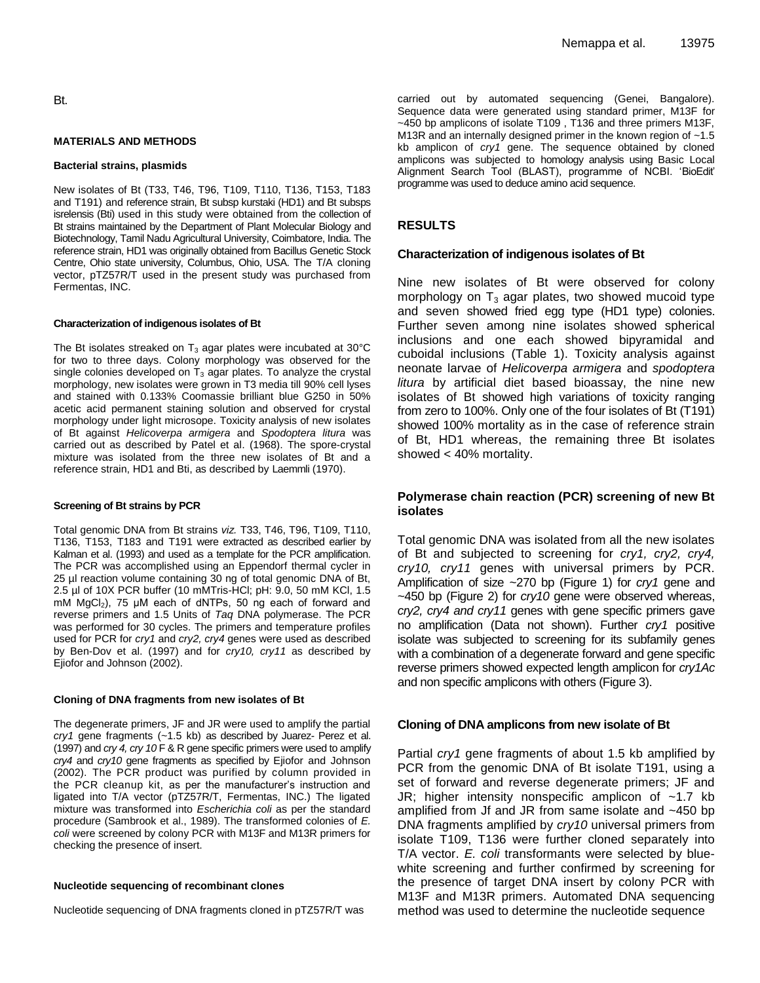#### **MATERIALS AND METHODS**

#### **Bacterial strains, plasmids**

New isolates of Bt (T33, T46, T96, T109, T110, T136, T153, T183 and T191) and reference strain, Bt subsp kurstaki (HD1) and Bt subsps isrelensis (Bti) used in this study were obtained from the collection of Bt strains maintained by the Department of Plant Molecular Biology and Biotechnology, Tamil Nadu Agricultural University, Coimbatore, India. The reference strain, HD1 was originally obtained from Bacillus Genetic Stock Centre, Ohio state university, Columbus, Ohio, USA. The T/A cloning vector, pTZ57R/T used in the present study was purchased from Fermentas, INC.

#### **Characterization of indigenous isolates of Bt**

The Bt isolates streaked on  $T_3$  agar plates were incubated at 30 $\degree$ C for two to three days. Colony morphology was observed for the single colonies developed on  $T_3$  agar plates. To analyze the crystal morphology, new isolates were grown in T3 media till 90% cell lyses and stained with 0.133% Coomassie brilliant blue G250 in 50% acetic acid permanent staining solution and observed for crystal morphology under light microsope. Toxicity analysis of new isolates of Bt against *Helicoverpa armigera* and *Spodoptera litura* was carried out as described by Patel et al. (1968). The spore-crystal mixture was isolated from the three new isolates of Bt and a reference strain, HD1 and Bti, as described by Laemmli (1970).

#### **Screening of Bt strains by PCR**

Total genomic DNA from Bt strains *viz.* T33, T46, T96, T109, T110, T136, T153, T183 and T191 were extracted as described earlier by Kalman et al. (1993) and used as a template for the PCR amplification. The PCR was accomplished using an Eppendorf thermal cycler in 25 µl reaction volume containing 30 ng of total genomic DNA of Bt, 2.5 µl of 10X PCR buffer (10 mMTris-HCl; pH: 9.0, 50 mM KCl, 1.5 mM  $MqCl<sub>2</sub>$ ), 75 μM each of dNTPs, 50 ng each of forward and reverse primers and 1.5 Units of *Taq* DNA polymerase. The PCR was performed for 30 cycles. The primers and temperature profiles used for PCR for *cry1* and *cry2, cry4* genes were used as described by Ben-Dov et al. (1997) and for *cry10, cry11* as described by Ejiofor and Johnson (2002).

#### **Cloning of DNA fragments from new isolates of Bt**

The degenerate primers, JF and JR were used to amplify the partial *cry1* gene fragments (~1.5 kb) as described by Juarez- Perez et al. (1997) and *cry 4, cry 10* F & R gene specific primers were used to amplify *cry4* and *cry10* gene fragments as specified by Ejiofor and Johnson (2002). The PCR product was purified by column provided in the PCR cleanup kit, as per the manufacturer's instruction and ligated into T/A vector (pTZ57R/T, Fermentas, INC.) The ligated mixture was transformed into *Escherichia coli* as per the standard procedure (Sambrook et al., 1989). The transformed colonies of *E. coli* were screened by colony PCR with M13F and M13R primers for checking the presence of insert.

#### **Nucleotide sequencing of recombinant clones**

Nucleotide sequencing of DNA fragments cloned in pTZ57R/T was

carried out by automated sequencing (Genei, Bangalore). Sequence data were generated using standard primer, M13F for ~450 bp amplicons of isolate T109 , T136 and three primers M13F, M13R and an internally designed primer in the known region of ~1.5 kb amplicon of *cry1* gene. The sequence obtained by cloned amplicons was subjected to homology analysis using Basic Local Alignment Search Tool (BLAST), programme of NCBI. 'BioEdit' programme was used to deduce amino acid sequence.

#### **RESULTS**

#### **Characterization of indigenous isolates of Bt**

Nine new isolates of Bt were observed for colony morphology on  $T_3$  agar plates, two showed mucoid type and seven showed fried egg type (HD1 type) colonies. Further seven among nine isolates showed spherical inclusions and one each showed bipyramidal and cuboidal inclusions (Table 1). Toxicity analysis against neonate larvae of *Helicoverpa armigera* and *spodoptera litura* by artificial diet based bioassay, the nine new isolates of Bt showed high variations of toxicity ranging from zero to 100%. Only one of the four isolates of Bt (T191) showed 100% mortality as in the case of reference strain of Bt, HD1 whereas, the remaining three Bt isolates showed < 40% mortality.

## **Polymerase chain reaction (PCR) screening of new Bt isolates**

Total genomic DNA was isolated from all the new isolates of Bt and subjected to screening for *cry1, cry2, cry4, cry10, cry11* genes with universal primers by PCR. Amplification of size ~270 bp (Figure 1) for *cry1* gene and ~450 bp (Figure 2) for *cry10* gene were observed whereas, *cry2, cry4 and cry11* genes with gene specific primers gave no amplification (Data not shown). Further *cry1* positive isolate was subjected to screening for its subfamily genes with a combination of a degenerate forward and gene specific reverse primers showed expected length amplicon for *cry1Ac* and non specific amplicons with others (Figure 3).

#### **Cloning of DNA amplicons from new isolate of Bt**

Partial *cry1* gene fragments of about 1.5 kb amplified by PCR from the genomic DNA of Bt isolate T191, using a set of forward and reverse degenerate primers; JF and JR; higher intensity nonspecific amplicon of  $~1.7$  kb amplified from Jf and JR from same isolate and ~450 bp DNA fragments amplified by *cry10* universal primers from isolate T109, T136 were further cloned separately into T/A vector. *E. coli* transformants were selected by bluewhite screening and further confirmed by screening for the presence of target DNA insert by colony PCR with M13F and M13R primers. Automated DNA sequencing method was used to determine the nucleotide sequence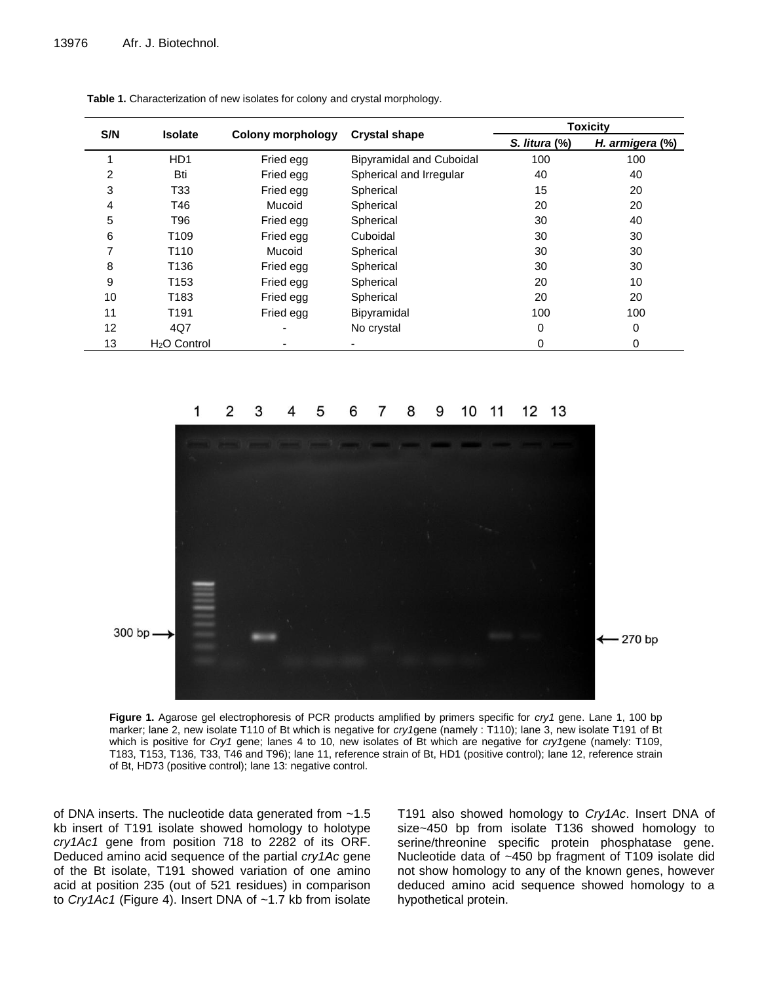| S/N | <b>Isolate</b>   | <b>Colony morphology</b> | <b>Crystal shape</b>            | <b>Toxicity</b> |                 |
|-----|------------------|--------------------------|---------------------------------|-----------------|-----------------|
|     |                  |                          |                                 | S. litura (%)   | H. armigera (%) |
|     | HD <sub>1</sub>  | Fried egg                | <b>Bipyramidal and Cuboidal</b> | 100             | 100             |
| 2   | Bti              | Fried egg                | Spherical and Irregular         | 40              | 40              |
| 3   | T33              | Fried egg                | Spherical                       | 15              | 20              |
| 4   | T46              | Mucoid                   | Spherical                       | 20              | 20              |
| 5   | T96              | Fried egg                | Spherical                       | 30              | 40              |
| 6   | T109             | Fried egg                | Cuboidal                        | 30              | 30              |
| 7   | T <sub>110</sub> | Mucoid                   | Spherical                       | 30              | 30              |
| 8   | T136             | Fried egg                | Spherical                       | 30              | 30              |
| 9   | T153             | Fried egg                | Spherical                       | 20              | 10              |
| 10  | T183             | Fried egg                | Spherical                       | 20              | 20              |
| 11  | T191             | Fried egg                | Bipyramidal                     | 100             | 100             |
| 12  | 4Q7              |                          | No crystal                      | $\mathbf 0$     | 0               |
| 13  | $H2O$ Control    |                          | ۰.                              | $\Omega$        | 0               |

**Table 1.** Characterization of new isolates for colony and crystal morphology.



**Figure 1.** Agarose gel electrophoresis of PCR products amplified by primers specific for *cry1* gene. Lane 1, 100 bp marker; lane 2, new isolate T110 of Bt which is negative for *cry1*gene (namely : T110); lane 3, new isolate T191 of Bt which is positive for *Cry1* gene; lanes 4 to 10, new isolates of Bt which are negative for *cry1*gene (namely: T109, T183, T153, T136, T33, T46 and T96); lane 11, reference strain of Bt, HD1 (positive control); lane 12, reference strain of Bt, HD73 (positive control); lane 13: negative control.

of DNA inserts. The nucleotide data generated from ~1.5 kb insert of T191 isolate showed homology to holotype *cry1Ac1* gene from position 718 to 2282 of its ORF. Deduced amino acid sequence of the partial *cry1Ac* gene of the Bt isolate, T191 showed variation of one amino acid at position 235 (out of 521 residues) in comparison to *Cry1Ac1* (Figure 4). Insert DNA of ~1.7 kb from isolate T191 also showed homology to *Cry1Ac*. Insert DNA of size~450 bp from isolate T136 showed homology to serine/threonine specific protein phosphatase gene. Nucleotide data of ~450 bp fragment of T109 isolate did not show homology to any of the known genes, however deduced amino acid sequence showed homology to a hypothetical protein.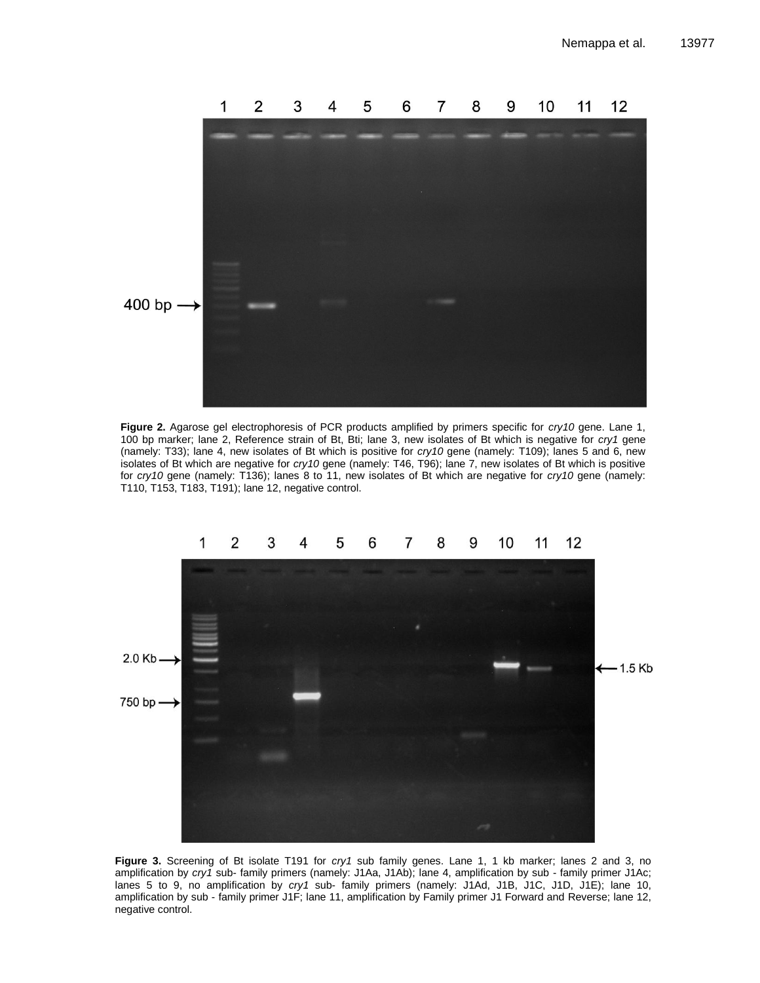

**Figure 2.** Agarose gel electrophoresis of PCR products amplified by primers specific for *cry10* gene. Lane 1, 100 bp marker; lane 2, Reference strain of Bt, Bti; lane 3, new isolates of Bt which is negative for *cry1* gene too be make, and  $\epsilon$ , neteroided strain of Bt, Bt, and 6, new isolated of Bt which is hegative for  $\epsilon$ y? gene<br>(namely: T33); lane 4, new isolates of Bt which is positive for *cry10* gene (namely: T109); lanes 5 and 6, ne isolates of Bt which are negative for *cry10* gene (namely: T46, T96); lane 7, new isolates of Bt which is positive for *cry10* gene (namely: T136); lanes 8 to 11, new isolates of Bt which are negative for *cry10* gene (namely: for *cry10* gene (namely: 1136); lanes 8 to 11, nev<br>T110, T153, T183, T191); lane 12, negative control.



**Figure 3.** Screening of Bt isolate T191 for *cry1* sub family genes. Lane 1, 1 kb marker; lanes 2 and 3, no amplification by *cry1* sub- family primers (namely: J1Aa, J1Ab); lane 4, amplification by sub - family primer J1Ac; lanes 5 to 9, no amplification by *cry1* sub- family primers (namely: J1Ad, J1B, J1C, J1D, J1E); lane 10, amplification by sub - family primer J1F; lane 11, amplification by Family primer J1 Forward and Reverse; lane 12, negative control.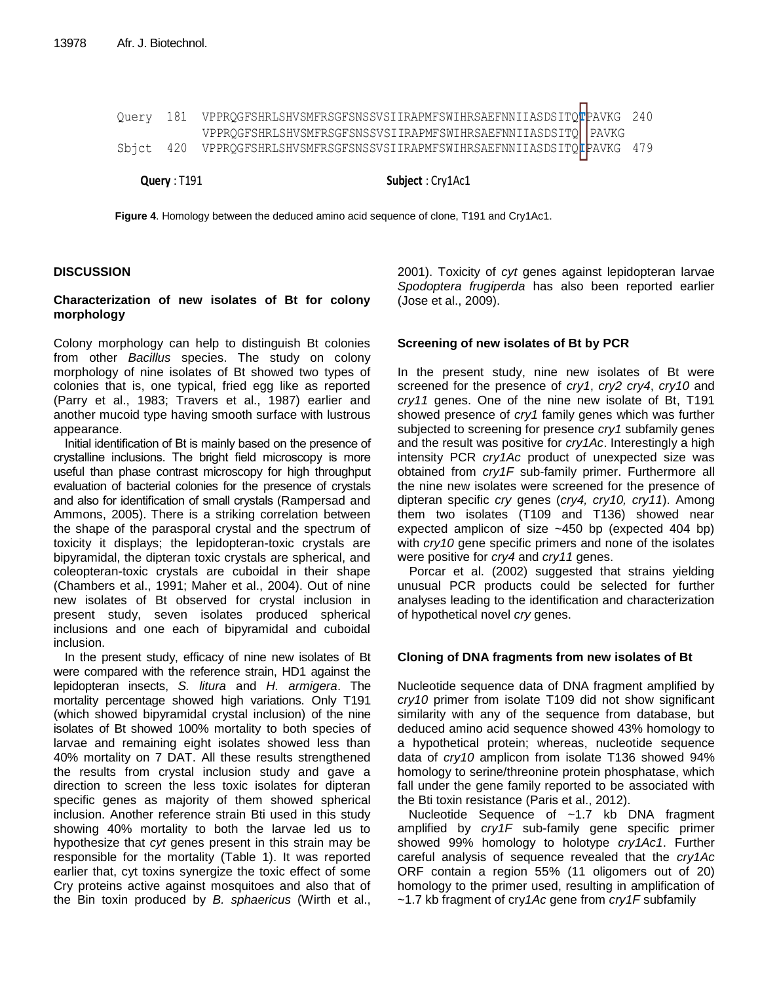| Query: T191 | Subject: Cry1Ac1                                                                                                                           |  |  |  |  |  |  |
|-------------|--------------------------------------------------------------------------------------------------------------------------------------------|--|--|--|--|--|--|
|             | Sbjct 420 VPPRQGFSHRLSHVSMFRSGFSNSSVSIIRAPMFSWIHRSAEFNNIIASDSITQ <b>t</b> PAVKG 479                                                        |  |  |  |  |  |  |
|             | Query 181 VPPRQGFSHRLSHVSMFRSGFSNSSVSIIRAPMFSWIHRSAEFNNIIASDSITQFPAVKG 240<br>VPPRQGFSHRLSHVSMFRSGFSNSSVSIIRAPMFSWIHRSAEFNNIIASDSITQ PAVKG |  |  |  |  |  |  |

**Figure 4**. Homology between the deduced amino acid sequence of clone, T191 and Cry1Ac1. **Figure 4**. Homology between the deduced amino acid sequence of clone, T191 and Cry1Ac1.

## **DISCUSSION**

## **Characterization of new isolates of Bt for colony morphology**

Colony morphology can help to distinguish Bt colonies from other *Bacillus* species. The study on colony morphology of nine isolates of Bt showed two types of colonies that is, one typical, fried egg like as reported (Parry et al., 1983; Travers et al., 1987) earlier and another mucoid type having smooth surface with lustrous appearance.

Initial identification of Bt is mainly based on the presence of crystalline inclusions. The bright field microscopy is more useful than phase contrast microscopy for high throughput evaluation of bacterial colonies for the presence of crystals and also for identification of small crystals (Rampersad and Ammons, 2005). There is a striking correlation between the shape of the parasporal crystal and the spectrum of toxicity it displays; the lepidopteran-toxic crystals are bipyramidal, the dipteran toxic crystals are spherical, and coleopteran-toxic crystals are cuboidal in their shape (Chambers et al., 1991; Maher et al., 2004). Out of nine new isolates of Bt observed for crystal inclusion in present study, seven isolates produced spherical inclusions and one each of bipyramidal and cuboidal inclusion.

In the present study, efficacy of nine new isolates of Bt were compared with the reference strain, HD1 against the lepidopteran insects, *S. litura* and *H. armigera*. The mortality percentage showed high variations. Only T191 (which showed bipyramidal crystal inclusion) of the nine isolates of Bt showed 100% mortality to both species of larvae and remaining eight isolates showed less than 40% mortality on 7 DAT. All these results strengthened the results from crystal inclusion study and gave a direction to screen the less toxic isolates for dipteran specific genes as majority of them showed spherical inclusion. Another reference strain Bti used in this study showing 40% mortality to both the larvae led us to hypothesize that *cyt* genes present in this strain may be responsible for the mortality (Table 1). It was reported earlier that, cyt toxins synergize the toxic effect of some Cry proteins active against mosquitoes and also that of the Bin toxin produced by *B. sphaericus* (Wirth et al.,

2001). Toxicity of *cyt* genes against lepidopteran larvae *Spodoptera frugiperda* has also been reported earlier (Jose et al., 2009).

## **Screening of new isolates of Bt by PCR**

In the present study, nine new isolates of Bt were screened for the presence of *cry1*, *cry2 cry4*, *cry10* and *cry11* genes. One of the nine new isolate of Bt, T191 showed presence of *cry1* family genes which was further subjected to screening for presence *cry1* subfamily genes and the result was positive for *cry1Ac*. Interestingly a high intensity PCR *cry1Ac* product of unexpected size was obtained from *cry1F* sub-family primer. Furthermore all the nine new isolates were screened for the presence of dipteran specific *cry* genes (*cry4, cry10, cry11*). Among them two isolates (T109 and T136) showed near expected amplicon of size ~450 bp (expected 404 bp) with *cry10* gene specific primers and none of the isolates were positive for *cry4* and *cry11* genes.

Porcar et al. (2002) suggested that strains yielding unusual PCR products could be selected for further analyses leading to the identification and characterization of hypothetical novel *cry* genes.

### **Cloning of DNA fragments from new isolates of Bt**

Nucleotide sequence data of DNA fragment amplified by *cry10* primer from isolate T109 did not show significant similarity with any of the sequence from database, but deduced amino acid sequence showed 43% homology to a hypothetical protein; whereas, nucleotide sequence data of *cry10* amplicon from isolate T136 showed 94% homology to serine/threonine protein phosphatase, which fall under the gene family reported to be associated with the Bti toxin resistance (Paris et al., 2012).

Nucleotide Sequence of ~1.7 kb DNA fragment amplified by *cry1F* sub-family gene specific primer showed 99% homology to holotype *cry1Ac1*. Further careful analysis of sequence revealed that the *cry1Ac* ORF contain a region 55% (11 oligomers out of 20) homology to the primer used, resulting in amplification of ~1.7 kb fragment of cry*1Ac* gene from *cry1F* subfamily